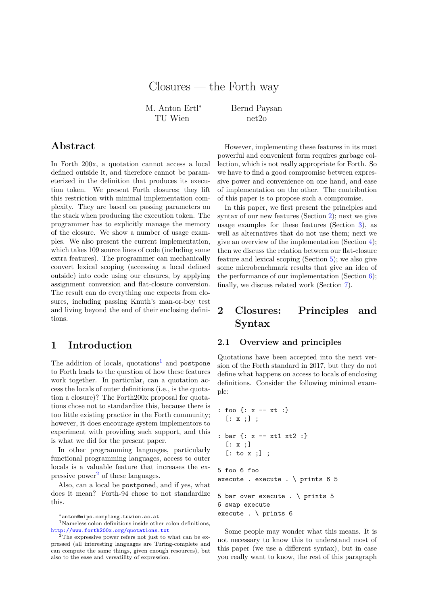# Closures — the Forth way

M. Anton Ertl<sup>∗</sup> TU Wien

Bernd Paysan net2o

## **Abstract**

In Forth 200x, a quotation cannot access a local defined outside it, and therefore cannot be parameterized in the definition that produces its execution token. We present Forth closures; they lift this restriction with minimal implementation complexity. They are based on passing parameters on the stack when producing the execution token. The programmer has to explicitly manage the memory of the closure. We show a number of usage examples. We also present the current implementation, which takes 109 source lines of code (including some extra features). The programmer can mechanically convert lexical scoping (accessing a local defined outside) into code using our closures, by applying assignment conversion and flat-closure conversion. The result can do everything one expects from closures, including passing Knuth's man-or-boy test and living beyond the end of their enclosing definitions.

## **1 Introduction**

The addition of locals,  $quotations<sup>1</sup>$  $quotations<sup>1</sup>$  $quotations<sup>1</sup>$  and postpone to Forth leads to the question of how these features work together. In particular, can a quotation access the locals of outer definitions (i.e., is the quotation a closure)? The Forth200x proposal for quotations chose not to standardize this, because there is too little existing practice in the Forth community; however, it does encourage system implementors to experiment with providing such support, and this is what we did for the present paper.

In other programming languages, particularly functional programming languages, access to outer locals is a valuable feature that increases the ex-pressive power<sup>[2](#page-0-1)</sup> of these languages.

Also, can a local be postponed, and if yes, what does it mean? Forth-94 chose to not standardize this.

However, implementing these features in its most powerful and convenient form requires garbage collection, which is not really appropriate for Forth. So we have to find a good compromise between expressive power and convenience on one hand, and ease of implementation on the other. The contribution of this paper is to propose such a compromise.

In this paper, we first present the principles and syntax of our new features (Section [2\)](#page-0-2); next we give usage examples for these features (Section [3\)](#page-3-0), as well as alternatives that do not use them; next we give an overview of the implementation (Section [4\)](#page-7-0); then we discuss the relation between our flat-closure feature and lexical scoping (Section [5\)](#page-8-0); we also give some microbenchmark results that give an idea of the performance of our implementation (Section [6\)](#page-9-0); finally, we discuss related work (Section [7\)](#page-10-0).

# <span id="page-0-2"></span>**2 Closures: Principles and Syntax**

### <span id="page-0-3"></span>**2.1 Overview and principles**

Quotations have been accepted into the next version of the Forth standard in 2017, but they do not define what happens on access to locals of enclosing definitions. Consider the following minimal example:

```
: foo {: x -- xt :}
  [: x ;] ;
: bar {: x -- xt1 xt2 :}
  [: x ;]
  [: to x ;] ;
5 foo 6 foo
execute . execute . \ prints 6 5
5 bar over execute . \ prints 5
6 swap execute
```
execute . \ prints 6

Some people may wonder what this means. It is not necessary to know this to understand most of this paper (we use a different syntax), but in case you really want to know, the rest of this paragraph

<span id="page-0-0"></span><sup>∗</sup>anton@mips.complang.tuwien.ac.at

<sup>&</sup>lt;sup>1</sup>Nameless colon definitions inside other colon definitions, <http://www.forth200x.org/quotations.txt>

<span id="page-0-1"></span> $^{2}$ The expressive power refers not just to what can be expressed (all interesting languages are Turing-complete and can compute the same things, given enough resources), but also to the ease and versatility of expression.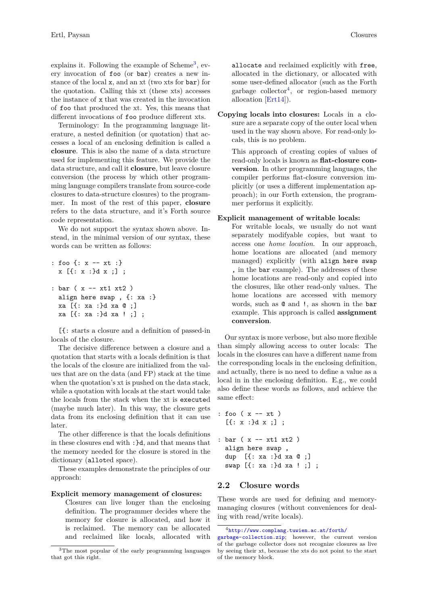explains it. Following the example of  $\text{Scheme}^3$  $\text{Scheme}^3$ , every invocation of foo (or bar) creates a new instance of the local x, and an xt (two xts for bar) for the quotation. Calling this xt (these xts) accesses the instance of x that was created in the invocation of foo that produced the xt. Yes, this means that different invocations of foo produce different xts.

Terminology: In the programming language literature, a nested definition (or quotation) that accesses a local of an enclosing definition is called a **closure**. This is also the name of a data structure used for implementing this feature. We provide the data structure, and call it **closure**, but leave closure conversion (the process by which other programming language compilers translate from source-code closures to data-structure closures) to the programmer. In most of the rest of this paper, **closure** refers to the data structure, and it's Forth source code representation.

We do not support the syntax shown above. Instead, in the minimal version of our syntax, these words can be written as follows:

```
: foo {: x -- xt :}
 x [{: x :}d x ;] ;
: bar ( x -- xt1 xt2 )
 align here swap , {: xa :}
 xa [{: xa :}d xa @ ;]
 xa [{: xa :}d xa ! ;] ;
```
[{: starts a closure and a definition of passed-in locals of the closure.

The decisive difference between a closure and a quotation that starts with a locals definition is that the locals of the closure are initialized from the values that are on the data (and FP) stack at the time when the quotation's xt is pushed on the data stack, while a quotation with locals at the start would take the locals from the stack when the xt is executed (maybe much later). In this way, the closure gets data from its enclosing definition that it can use later.

The other difference is that the locals definitions in these closures end with :}d, and that means that the memory needed for the closure is stored in the dictionary (alloted space).

These examples demonstrate the principles of our approach:

#### **Explicit memory management of closures:**

Closures can live longer than the enclosing definition. The programmer decides where the memory for closure is allocated, and how it is reclaimed. The memory can be allocated and reclaimed like locals, allocated with allocate and reclaimed explicitly with free, allocated in the dictionary, or allocated with some user-defined allocator (such as the Forth garbage collector<sup>[4](#page-1-1)</sup>, or region-based memory allocation [\[Ert14\]](#page-11-0)).

**Copying locals into closures:** Locals in a closure are a separate copy of the outer local when used in the way shown above. For read-only locals, this is no problem.

This approach of creating copies of values of read-only locals is known as **flat-closure conversion**. In other programming languages, the compiler performs flat-closure conversion implicitly (or uses a different implementation approach); in our Forth extension, the programmer performs it explicitly.

#### **Explicit management of writable locals:**

For writable locals, we usually do not want separately modifyable copies, but want to access one *home location*. In our approach, home locations are allocated (and memory managed) explicitly (with align here swap , in the bar example). The addresses of these home locations are read-only and copied into the closures, like other read-only values. The home locations are accessed with memory words, such as @ and !, as shown in the bar example. This approach is called **assignment conversion**.

Our syntax is more verbose, but also more flexible than simply allowing access to outer locals: The locals in the closures can have a different name from the corresponding locals in the enclosing definition, and actually, there is no need to define a value as a local in in the enclosing definition. E.g., we could also define these words as follows, and achieve the same effect:

```
: foo (x - x t)[{\{: x :}d x ;]}: bar ( x -- xt1 xt2 )
 align here swap ,
 dup [{: xa :}d xa @ ;]
 swap [{: xa :}d xa ! ;] ;
```
### **2.2 Closure words**

These words are used for defining and memorymanaging closures (without conveniences for dealing with read/write locals).

<span id="page-1-0"></span><sup>3</sup>The most popular of the early programming languages that got this right.

<span id="page-1-1"></span><sup>4</sup>[http://www.complang.tuwien.ac.at/forth/](http://www.complang.tuwien.ac.at/forth/garbage-collection.zip)

[garbage-collection.zip](http://www.complang.tuwien.ac.at/forth/garbage-collection.zip); however, the current version of the garbage collector does not recognize closures as live by seeing their xt, because the xts do not point to the start of the memory block.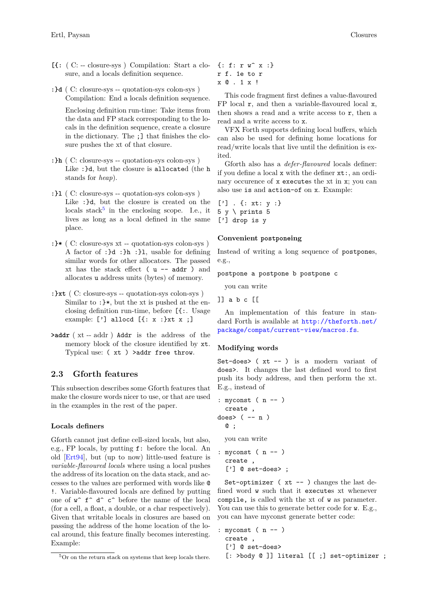- **[{:** ( C: -- closure-sys ) Compilation: Start a closure, and a locals definition sequence.
- **:}d** ( C: closure-sys -- quotation-sys colon-sys ) Compilation: End a locals definition sequence.

Enclosing definition run-time: Take items from the data and FP stack corresponding to the locals in the definition sequence, create a closure in the dictionary. The ;] that finishes the closure pushes the xt of that closure.

- **:}h** ( C: closure-sys -- quotation-sys colon-sys ) Like :}d, but the closure is allocated (the h stands for *heap*).
- **:}l** ( C: closure-sys -- quotation-sys colon-sys ) Like : Id, but the closure is created on the locals stack<sup>[5](#page-2-0)</sup> in the enclosing scope. I.e., it lives as long as a local defined in the same place.
- **:}\*** ( C: closure-sys xt -- quotation-sys colon-sys ) A factor of :}d :}h :}l, usable for defining similar words for other allocators. The passed xt has the stack effect  $(u - - \text{addr})$  and allocates u address units (bytes) of memory.
- **:}xt** ( C: closure-sys -- quotation-sys colon-sys ) Similar to :}\*, but the xt is pushed at the enclosing definition run-time, before [{:. Usage example: ['] allocd  $[{x : x :}x x ;]$
- **>addr** ( xt -- addr ) Addr is the address of the memory block of the closure identified by xt. Typical use: ( xt ) >addr free throw.

## **2.3 Gforth features**

This subsection describes some Gforth features that make the closure words nicer to use, or that are used in the examples in the rest of the paper.

#### <span id="page-2-1"></span>**Locals definers**

Gforth cannot just define cell-sized locals, but also, e.g., FP locals, by putting f: before the local. An old [\[Ert94\]](#page-11-1), but (up to now) little-used feature is *variable-flavoured locals* where using a local pushes the address of its location on the data stack, and accesses to the values are performed with words like @ !. Variable-flavoured locals are defined by putting one of  $w^{\frown} f^{\frown} d^{\frown} c^{\frown}$  before the name of the local (for a cell, a float, a double, or a char respectively). Given that writable locals in closures are based on passing the address of the home location of the local around, this feature finally becomes interesting. Example:

{: f: r w^ x :} r f. 1e to r x @ . 1 x !

This code fragment first defines a value-flavoured FP local  $r$ , and then a variable-flavoured local  $x$ , then shows a read and a write access to r, then a read and a write access to x.

VFX Forth supports defining local buffers, which can also be used for defining home locations for read/write locals that live until the definition is exited.

Gforth also has a *defer-flavoured* locals definer: if you define a local x with the definer xt:, an ordinary occurence of x executes the xt in x; you can also use is and action-of on x. Example:

['] . {: xt: y :}  $5 y \setminus prints 5$ ['] drop is y

#### **Convenient postponeing**

Instead of writing a long sequence of postpones, e.g.,

postpone a postpone b postpone c

you can write

]] a b c [[

An implementation of this feature in standard Forth is available at [http://theforth.net/](http://theforth.net/package/compat/current-view/macros.fs) [package/compat/current-view/macros.fs](http://theforth.net/package/compat/current-view/macros.fs).

#### **Modifying words**

Set-does> ( xt -- ) is a modern variant of does>. It changes the last defined word to first push its body address, and then perform the xt. E.g., instead of

```
: myconst ( n -- )
  create ,
does> ( -- n )
  @ ;
 you can write
: myconst ( n -- )
```
create , ['] @ set-does> ;

Set-optimizer (xt -- ) changes the last defined word w such that it executes xt whenever compile, is called with the xt of w as parameter. You can use this to generate better code for w. E.g., you can have myconst generate better code:

```
: myconst ( n -- )
 create ,
 ['] @ set-does>
```

```
[: >body @ ]] literal [[ ;] set-optimizer ;
```
<span id="page-2-0"></span><sup>5</sup>Or on the return stack on systems that keep locals there.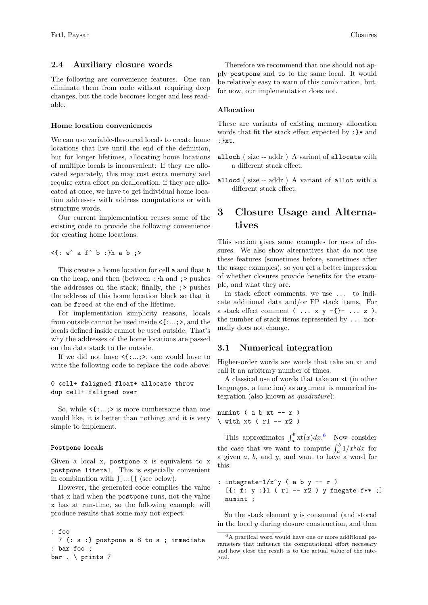### **2.4 Auxiliary closure words**

The following are convenience features. One can eliminate them from code without requiring deep changes, but the code becomes longer and less readable.

#### **Home location conveniences**

We can use variable-flavoured locals to create home locations that live until the end of the definition, but for longer lifetimes, allocating home locations of multiple locals is inconvenient: If they are allocated separately, this may cost extra memory and require extra effort on deallocation; if they are allocated at once, we have to get individual home location addresses with address computations or with structure words.

Our current implementation reuses some of the existing code to provide the following convenience for creating home locations:

 $\langle \cdot | : w \hat{ } \rangle$  a f  $\hat{ } \rangle$  b :  $\}$ h a b ;  $>$ 

This creates a home location for cell a and float b on the heap, and then (between :}h and ;> pushes the addresses on the stack; finally, the ;> pushes the address of this home location block so that it can be freed at the end of the lifetime.

For implementation simplicity reasons, locals from outside cannot be used inside <{:...;>, and the locals defined inside cannot be used outside. That's why the addresses of the home locations are passed on the data stack to the outside.

If we did not have  $\langle \{..., \rangle\}$ , one would have to write the following code to replace the code above:

### 0 cell+ faligned float+ allocate throw dup cell+ faligned over

So, while  $\leq \{..., \geq \}$  is more cumbersome than one would like, it is better than nothing; and it is very simple to implement.

#### **Postpone locals**

Given a local x, postpone x is equivalent to x postpone literal. This is especially convenient in combination with ]]...[[ (see below).

However, the generated code compiles the value that x had when the postpone runs, not the value x has at run-time, so the following example will produce results that some may not expect:

```
: foo
  7 {: a :} postpone a 8 to a ; immediate
: bar foo ;
bar . \vert prints 7
```
Therefore we recommend that one should not apply postpone and to to the same local. It would be relatively easy to warn of this combination, but, for now, our implementation does not.

#### **Allocation**

These are variants of existing memory allocation words that fit the stack effect expected by :}\* and :}xt.

- **alloch** ( size -- addr ) A variant of allocate with a different stack effect.
- **allocd** ( size -- addr ) A variant of allot with a different stack effect.

# <span id="page-3-0"></span>**3 Closure Usage and Alternatives**

This section gives some examples for uses of closures. We also show alternatives that do not use these features (sometimes before, sometimes after the usage examples), so you get a better impression of whether closures provide benefits for the example, and what they are.

In stack effect comments, we use ... to indicate additional data and/or FP stack items. For a stack effect comment  $(\ldots x y -\{\} - \ldots z)$ , the number of stack items represented by ... normally does not change.

### **3.1 Numerical integration**

Higher-order words are words that take an xt and call it an arbitrary number of times.

A classical use of words that take an xt (in other languages, a function) as argument is numerical integration (also known as *quadrature*):

numint (  $a b x t - r$  )  $\setminus$  with xt ( r1 -- r2 )

This approximates  $\int_a^b$  xt $(x)dx$ .<sup>[6](#page-3-1)</sup> Now consider the case that we want to compute  $\int_a^b 1/x^y dx$  for a given *a*, *b*, and *y*, and want to have a word for this:

```
: integrate-1/x^y ( a b y -- r )
 [{: f: y :}1 ( r1 -- r2 ) y fnegate f** :]
 numint ;
```
So the stack element *y* is consumed (and stored in the local *y* during closure construction, and then

<span id="page-3-1"></span><sup>6</sup>A practical word would have one or more additional parameters that influence the computational effort necessary and how close the result is to the actual value of the integral.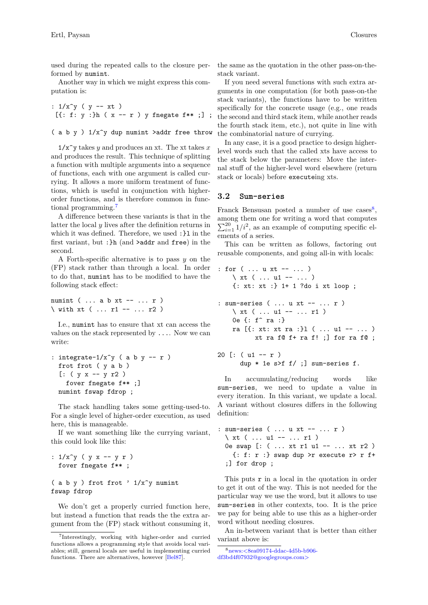used during the repeated calls to the closure performed by numint.

Another way in which we might express this computation is:

```
: 1/x^y ( y -- xt )
  [{\: :~} f: y: {\:} {\:} {\:} {\:} {\:} {\:} {\:} {\:} {\:} {\:} {\:} {\:} {\:} {\:} {\:} {\:} {\:} {\:} {\:} {\:} {\:} {\:} {\:} {\:} {\:} {\:} {\:} {\:} {\:} {\:} {\:} {\:} {\:} {\:} {\:}
```

```
( a b y ) 1/x^y dup numint >addr free throw
```
 $1/x^2$  takes *y* and produces an xt. The xt takes *x* and produces the result. This technique of splitting a function with multiple arguments into a sequence of functions, each with one argument is called currying. It allows a more uniform treatment of functions, which is useful in conjunction with higherorder functions, and is therefore common in functional programming.[7](#page-4-0)

A difference between these variants is that in the latter the local *y* lives after the definition returns in which it was defined. Therefore, we used :}l in the first variant, but :}h (and >addr and free) in the second.

A Forth-specific alternative is to pass *y* on the (FP) stack rather than through a local. In order to do that, numint has to be modified to have the following stack effect:

numint ( ... a b xt -- ... r ) \ with xt ( ... r1 -- ... r2 )

I.e., numint has to ensure that xt can access the values on the stack represented by .... Now we can write:

```
: integrate-1/x^y ( a b y -- r )
 frot frot ( y a b )
  [: ( y x -- y r2 )fover fnegate f** ;]
 numint fswap fdrop ;
```
The stack handling takes some getting-used-to. For a single level of higher-order execution, as used here, this is manageable.

If we want something like the currying variant, this could look like this:

```
: 1/x^y ( y x -- y r )
 fover fnegate f** ;
```
( a b y ) frot frot '  $1/x^y$  numint fswap fdrop

We don't get a properly curried function here, but instead a function that reads the the extra argument from the (FP) stack without consuming it, the same as the quotation in the other pass-on-thestack variant.

If you need several functions with such extra arguments in one computation (for both pass-on-the stack variants), the functions have to be written specifically for the concrete usage (e.g., one reads the second and third stack item, while another reads the fourth stack item, etc.), not quite in line with the combinatorial nature of currying.

In any case, it is a good practice to design higherlevel words such that the called xts have access to the stack below the parameters: Move the internal stuff of the higher-level word elsewhere (return stack or locals) before executeing xts.

#### **3.2 Sum-series**

Franck Bensusan posted a number of use  $\text{cases}^8$  $\text{cases}^8$ , among them one for writing a word that computes  $\sum_{i=1}^{20} 1/i^2$ , as an example of computing specific elements of a series.

This can be written as follows, factoring out reusable components, and going all-in with locals:

```
: for ( ... u xt -- ... )
    \setminus xt ( ... u1 -- ... )
    {: xt: xt :} 1+ 1 ?do i xt loop ;
: sum-series ( ... u xt -- ... r )
    \ xt ( ... u1 -- ... r1 )
    0e {: f<sup>\sim</sup> ra :}
    ra [{: xt: xt ra :}l ( ... u1 -- ... )
           xt ra f@ f+ ra f! ;] for ra f@ ;
```

```
20 [: (u1 - r)dup * 1e s>f f/ ;] sum-series f.
```
In accumulating/reducing words like sum-series, we need to update a value in every iteration. In this variant, we update a local. A variant without closures differs in the following definition:

```
: sum-series ( ... u xt -- ... r )
 \chi xt ( ... u1 -- ... r1 )
 0e swap [: ( ... xt r1 u1 -- ... xt r2 )
    \{ : f: r : \} swap dup >r execute r> r f+
  ;] for drop ;
```
This puts r in a local in the quotation in order to get it out of the way. This is not needed for the particular way we use the word, but it allows to use sum-series in other contexts, too. It is the price we pay for being able to use this as a higher-order word without needing closures.

An in-between variant that is better than either variant above is:

<span id="page-4-0"></span><sup>7</sup> Interestingly, working with higher-order and curried functions allows a programming style that avoids local variables; still, general locals are useful in implementing curried functions. There are alternatives, however [\[Bel87\]](#page-11-2).

<span id="page-4-1"></span><sup>8</sup>[news:<8ea09174-ddac-4d5b-b906](http://al.howardknight.net/msgid.cgi?ID=153572170300) [df3bd4f07932@googlegroups.com>](http://al.howardknight.net/msgid.cgi?ID=153572170300)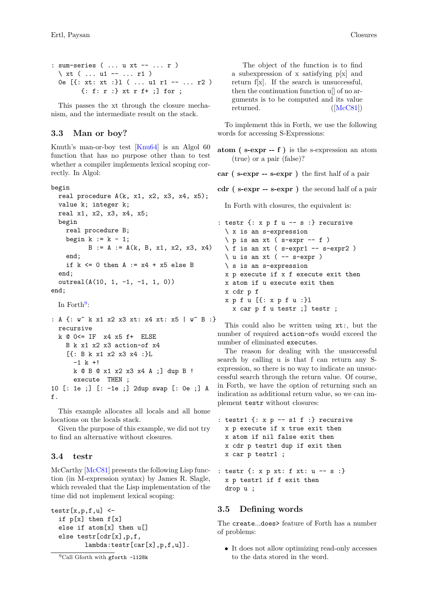```
: sum-series ( ... u xt -- ... r )
 \ xt ( ... u1 -- ... r1 )
 0e [{: xt: xt :}1 ( ... u1 r1 -- ... r2 )
        {: f: r :} xt r f+ ;] for ;
```
This passes the xt through the closure mechanism, and the intermediate result on the stack.

## <span id="page-5-2"></span>**3.3 Man or boy?**

Knuth's man-or-boy test [\[Knu64\]](#page-11-3) is an Algol 60 function that has no purpose other than to test whether a compiler implements lexical scoping correctly. In Algol:

```
begin
  real procedure A(k, x1, x2, x3, x4, x5);
  value k; integer k;
  real x1, x2, x3, x4, x5;
  begin
    real procedure B;
    begin k := k - 1;
          B := A := A(k, B, x1, x2, x3, x4)end;
    if k \le 0 then A := x4 + x5 else B
  end;
  outreal(A(10, 1, -1, -1, 1, 0))
end;
```

```
In Forth9:
```

```
: A {: w^ k x1 x2 x3 xt: x4 xt: x5 | w^ B :}
 recursive
 k @ 0<= IF x4 x5 f+ ELSE
    B k x1 x2 x3 action-of x4
    [{: B k x1 x2 x3 x4 :}L
      -1 k +!k @ B @ x1 x2 x3 x4 A ;] dup B !
      execute THEN ;
10 [: 1e ;] [: -1e ;] 2dup swap [: 0e ;] A
f.
```
This example allocates all locals and all home locations on the locals stack.

Given the purpose of this example, we did not try to find an alternative without closures.

### <span id="page-5-1"></span>**3.4 testr**

McCarthy [\[McC81\]](#page-12-0) presents the following Lisp function (in M-expression syntax) by James R. Slagle, which revealed that the Lisp implementation of the time did not implement lexical scoping:

```
\text{testr}[x,p,f,u] <-
  if p[x] then f[x]
  else if atom[x] then u[]
  else testr[cdr[x],p,f,
         lambda:testr[car[x],p,f,u]].
```

```
9Call Gforth with gforth -l128k
```
The object of the function is to find a subexpression of x satisfying p[x] and return f[x]. If the search is unsuccessful, then the continuation function u[] of no arguments is to be computed and its value returned. ([\[McC81\]](#page-12-0))

To implement this in Forth, we use the following words for accessing S-Expressions:

**atom ( s-expr -- f )** is the s-expression an atom (true) or a pair (false)?

**car ( s-expr -- s-expr )** the first half of a pair

**cdr ( s-expr -- s-expr )** the second half of a pair

In Forth with closures, the equivalent is:

```
: testr {: x p f u -- s :} recursive
 \ x is an s-expression
  \setminus p is an xt ( s-expr -- f )
  \backslash f is an xt ( s-expr1 -- s-expr2 )
  \langle u is an xt ( -- s-expr )
 \ s is an s-expression
 x p execute if x f execute exit then
 x atom if u execute exit then
 x cdr p f
 x p f u [{: x p f u :}l
    x car p f u testr ;] testr ;
```
This could also be written using xt:, but the number of required action-ofs would exceed the number of eliminated executes.

The reason for dealing with the unsuccessful search by calling u is that f can return any Sexpression, so there is no way to indicate an unsuccessful search through the return value. Of course, in Forth, we have the option of returning such an indication as additional return value, so we can implement testr without closures:

```
: testr1 {: x p -- s1 f :} recursive
 x p execute if x true exit then
 x atom if nil false exit then
 x cdr p testr1 dup if exit then
 x car p testr1 ;
: testr {: x p xt: f xt: u -- s :}
 x p testr1 if f exit then
```

```
drop u ;
```
## **3.5 Defining words**

The create...does> feature of Forth has a number of problems:

• It does not allow optimizing read-only accesses to the data stored in the word.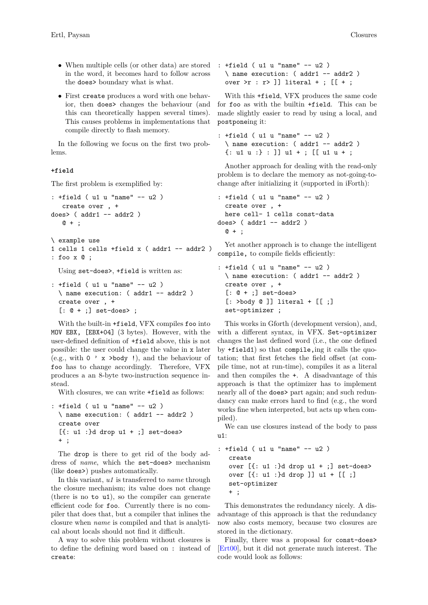- When multiple cells (or other data) are stored in the word, it becomes hard to follow across the does> boundary what is what.
- First create produces a word with one behavior, then does> changes the behaviour (and this can theoretically happen several times). This causes problems in implementations that compile directly to flash memory.

In the following we focus on the first two problems.

#### <span id="page-6-0"></span>**+field**

The first problem is exemplified by:

```
: +field ( u1 u "name" -- u2 )
   create over , +
does> ( addr1 -- addr2 )
   @ + ;
\ example use
1 cells 1 cells +field x ( addr1 -- addr2 )
: foo x @ ;
  Using set-does>, +field is written as:
```

```
: +field ( u1 u "name" -- u2 )
 \ name execution: ( addr1 -- addr2 )
 create over , +
 [: 0 + ;] set-does>;
```
With the built-in +field, VFX compiles foo into MOV EBX, [EBX+04] (3 bytes). However, with the user-defined definition of +field above, this is not possible: the user could change the value in x later (e.g., with  $0 \rightarrow x >$ body !), and the behaviour of foo has to change accordingly. Therefore, VFX produces a an 8-byte two-instruction sequence instead.

With closures, we can write +field as follows:

```
: +field ( u1 u "name" -- u2 )
  \ name execution: ( addr1 -- addr2 )
  create over
  [\{\colon u1 : \}d drop u1 + \; ;\] set-does>
  + ;
```
The drop is there to get rid of the body address of *name*, which the set-does> mechanism (like does>) pushes automatically.

In this variant, *u1* is transferred to *name* through the closure mechanism; its value does not change (there is no to u1), so the compiler can generate efficient code for foo. Currently there is no compiler that does that, but a compiler that inlines the closure when *name* is compiled and that is analytical about locals should not find it difficult.

A way to solve this problem without closures is to define the defining word based on : instead of create:

: +field ( u1 u "name" -- u2 ) \ name execution: ( addr1 -- addr2 ) over  $>r : r > ]$ ] literal +; [[ +;

With this +field, VFX produces the same code for foo as with the builtin +field. This can be made slightly easier to read by using a local, and postponeing it:

```
: +field ( u1 u "name" -- u2 )
 \ name execution: ( addr1 -- addr2 )
 {: u1 u :} : ]] u1 + ; [[ u1 u + ;
```
Another approach for dealing with the read-only problem is to declare the memory as not-going-tochange after initializing it (supported in iForth):

```
: +field ( u1 u "name" -- u2 )
  create over , +
 here cell- 1 cells const-data
does> ( addr1 -- addr2 )
  @ + ;
```
Yet another approach is to change the intelligent compile, to compile fields efficiently:

```
: +field ( u1 u "name" -- u2 )
 \ name execution: ( addr1 -- addr2 )
 create over , +
 [: 0 + ;] set-does>
 [: >body @ ]] literal + [[ ;]
 set-optimizer ;
```
This works in Gforth (development version), and, with a different syntax, in VFX. Set-optimizer changes the last defined word (i.e., the one defined by +field1) so that compile,ing it calls the quotation; that first fetches the field offset (at compile time, not at run-time), compiles it as a literal and then compiles the +. A disadvantage of this approach is that the optimizer has to implement nearly all of the does> part again; and such redundancy can make errors hard to find (e.g., the word works fine when interpreted, but acts up when compiled).

We can use closures instead of the body to pass  $n1$ :

```
: +field ( u1 u "name" -- u2 )
  create
  over [{: u1 :}d drop u1 + ;] set-does>
  over [{: u1 :}d drop ]] u1 + [[ ;]
  set-optimizer
  + ;
```
This demonstrates the redundancy nicely. A disadvantage of this approach is that the redundancy now also costs memory, because two closures are stored in the dictionary.

Finally, there was a proposal for const-does> [\[Ert00\]](#page-11-4), but it did not generate much interest. The code would look as follows: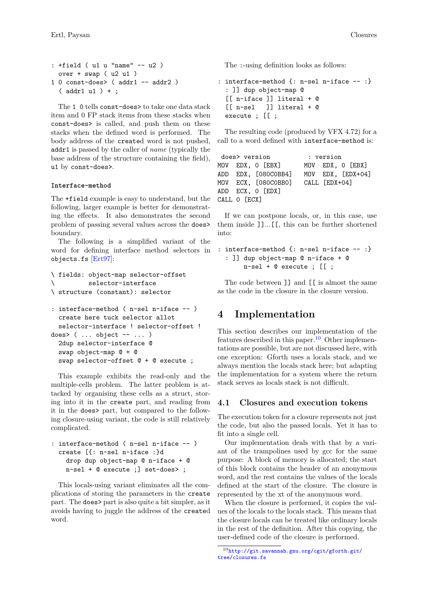```
: +field ( u1 u "name" -- u2 )
  over + swap ( u2 u1 )
1 0 const-does> ( addr1 -- addr2 )
  ( addr1 u1 ) + ;
```
The 1 0 tells const-does> to take one data stack item and 0 FP stack items from these stacks when const-does> is called, and push them on these stacks when the defined word is performed. The body address of the created word is not pushed, addr1 is passed by the caller of *name* (typically the base address of the structure containing the field), u1 by const-does>.

### <span id="page-7-2"></span>**Interface-method**

The +field example is easy to understand, but the following, larger example is better for demonstrating the effects. It also demonstrates the second problem of passing several values across the does> boundary.

The following is a simplified variant of the word for defining interface method selectors in objects.fs [\[Ert97\]](#page-11-5):

```
\ fields: object-map selector-offset
\ selector-interface
\ structure (constant): selector
: interface-method ( n-sel n-iface -- )
```

```
create here tuck selector allot
  selector-interface ! selector-offset !
does> ( ... object -- ... )
  2dup selector-interface @
  swap object-map @ + @
  swap selector-offset @ + @ execute ;
```
This example exhibits the read-only and the multiple-cells problem. The latter problem is attacked by organising these cells as a struct, storing into it in the create part, and reading from it in the does> part, but compared to the following closure-using variant, the code is still relatively complicated.

```
: interface-method ( n-sel n-iface -- )
 create [{: n-sel n-iface :}d
   drop dup object-map @ n-iface + @
   n-sel + @ execute ;] set-does> ;
```
This locals-using variant eliminates all the complications of storing the parameters in the create part. The does> part is also quite a bit simpler, as it avoids having to juggle the address of the created word.

The :-using definition looks as follows:

```
: interface-method {: n-sel n-iface -- :}
  : ]] dup object-map @
  [[ n-iface ]] literal + @
  [[ n-sel ]] literal + @
 execute ; [[ ;
```
The resulting code (produced by VFX 4.72) for a call to a word defined with interface-method is:

```
does> version : version
MOV EDX, 0 [EBX] MOV EDX, 0 [EBX]
ADD EDX, [080C0BB4] MOV EDX, [EDX+04]
MOV ECX, [080C0BB0] CALL [EDX+04]
ADD ECX, 0 [EDX]
CALL 0 [ECX]
```
If we can postpone locals, or, in this case, use them inside ]]...[[, this can be further shortened into:

```
: interface-method {: n-sel n-iface -- :}
  : ]] dup object-map @ n-iface + @
       n-sel + @ execute ; [[ ;
```
The code between ]] and [[ is almost the same as the code in the closure in the closure version.

# <span id="page-7-0"></span>**4 Implementation**

This section describes our implementation of the features described in this paper.<sup>[10](#page-7-1)</sup> Other implementations are possible, but are not discussed here, with one exception: Gforth uses a locals stack, and we always mention the locals stack here; but adapting the implementation for a system where the return stack serves as locals stack is not difficult.

## **4.1 Closures and execution tokens**

The execution token for a closure represents not just the code, but also the passed locals. Yet it has to fit into a single cell.

Our implementation deals with that by a variant of the trampolines used by gcc for the same purpose: A block of memory is allocated; the start of this block contains the header of an anonymous word, and the rest contains the values of the locals defined at the start of the closure. The closure is represented by the xt of the anonymous word.

When the closure is performed, it copies the values of the locals to the locals stack. This means that the closure locals can be treated like ordinary locals in the rest of the definition. After this copying, the user-defined code of the closure is performed.

<span id="page-7-1"></span><sup>10</sup>[http://git.savannah.gnu.org/cgit/gforth.git/](http://git.savannah.gnu.org/cgit/gforth.git/tree/closures.fs) [tree/closures.fs](http://git.savannah.gnu.org/cgit/gforth.git/tree/closures.fs)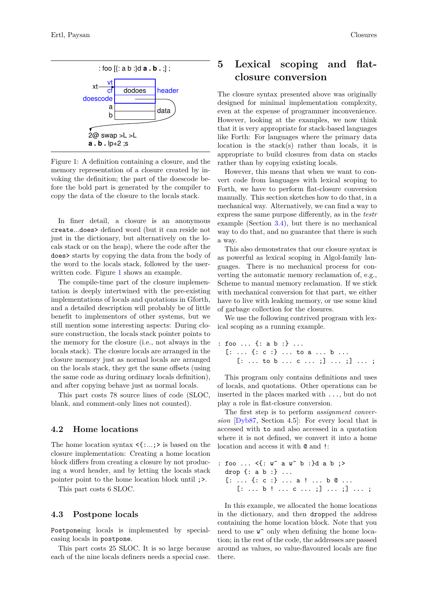

<span id="page-8-1"></span>Figure 1: A definition containing a closure, and the memory representation of a closure created by invoking the definition; the part of the doescode before the bold part is generated by the compiler to copy the data of the closure to the locals stack.

In finer detail, a closure is an anonymous create...does> defined word (but it can reside not just in the dictionary, but alternatively on the locals stack or on the heap), where the code after the does> starts by copying the data from the body of the word to the locals stack, followed by the userwritten code. Figure [1](#page-8-1) shows an example.

The compile-time part of the closure implementation is deeply intertwined with the pre-existing implementations of locals and quotations in Gforth, and a detailed description will probably be of little benefit to implementors of other systems, but we still mention some interesting aspects: During closure construction, the locals stack pointer points to the memory for the closure (i.e., not always in the locals stack). The closure locals are arranged in the closure memory just as normal locals are arranged on the locals stack, they get the same offsets (using the same code as during ordinary locals definition), and after copying behave just as normal locals.

This part costs 78 source lines of code (SLOC, blank, and comment-only lines not counted).

### **4.2 Home locations**

The home location syntax  $\langle \{..., \rangle\}$  is based on the closure implementation: Creating a home location block differs from creating a closure by not producing a word header, and by letting the locals stack pointer point to the home location block until ;>.

This part costs 6 SLOC.

#### **4.3 Postpone locals**

Postponeing locals is implemented by specialcasing locals in postpone.

This part costs 25 SLOC. It is so large because each of the nine locals definers needs a special case.

# <span id="page-8-0"></span>**5 Lexical scoping and flatclosure conversion**

The closure syntax presented above was originally designed for minimal implementation complexity, even at the expense of programmer inconvenience. However, looking at the examples, we now think that it is very appropriate for stack-based languages like Forth: For languages where the primary data location is the stack(s) rather than locals, it is appropriate to build closures from data on stacks rather than by copying existing locals.

However, this means that when we want to convert code from languages with lexical scoping to Forth, we have to perform flat-closure conversion manually. This section sketches how to do that, in a mechanical way. Alternatively, we can find a way to express the same purpose differently, as in the *testr* example (Section [3.4\)](#page-5-1), but there is no mechanical way to do that, and no guarantee that there is such a way.

This also demonstrates that our closure syntax is as powerful as lexical scoping in Algol-family languages. There is no mechanical process for converting the automatic memory reclamation of, e.g., Scheme to manual memory reclamation. If we stick with mechanical conversion for that part, we either have to live with leaking memory, or use some kind of garbage collection for the closures.

We use the following contrived program with lexical scoping as a running example.

$$
\begin{array}{c} \text{: } \text{fo} \ \dots \ \text{{} \{ : a b : \} \ \dots \\ \text{[} \ \dots \ \text{{} \{ : c : \} \ \dots \ \text{to} \ \text{a} \ \dots \ \text{b} \ \dots \\ \text{[} \ \dots \ \text{to} \ \text{b} \ \dots \ \text{c} \ \dots \ \text{;} \text{]} \ \dots \ \text{;} \end{array}
$$

This program only contains definitions and uses of locals, and quotations. Other operations can be inserted in the places marked with ..., but do not play a role in flat-closure conversion.

The first step is to perform *assignment conversion* [\[Dyb87,](#page-11-6) Section 4.5]: For every local that is accessed with to and also accessed in a quotation where it is not defined, we convert it into a home location and access it with  $\mathbf{\circ}$  and !:

: foo ... <{: w^ a w^ b :}d a b ;> drop {: a b :} ... [: ... {: c :} ... a ! ... b @ ...  $[: \ldots b ! \ldots c \ldots ;] \ldots ;] \ldots ;$ 

In this example, we allocated the home locations in the dictionary, and then dropped the address containing the home location block. Note that you need to use  $\mathbf{w}^{\sim}$  only when defining the home location; in the rest of the code, the addresses are passed around as values, so value-flavoured locals are fine there.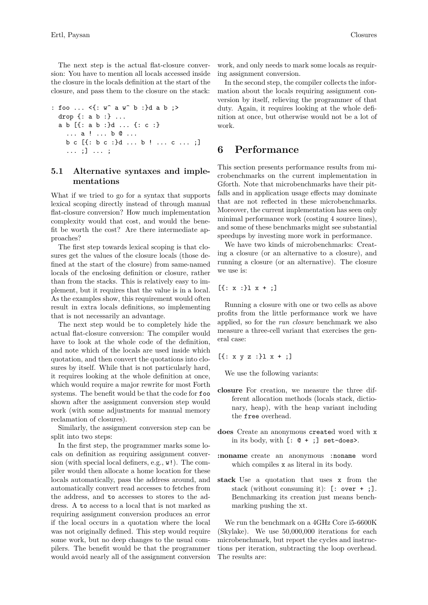The next step is the actual flat-closure conversion: You have to mention all locals accessed inside the closure in the locals definition at the start of the closure, and pass them to the closure on the stack:

```
: foo ... <{: w^ a w^ b :}d a b ;>
 drop {: a b :} ...
 a b [{: a b :}d ... {: c :}
    ... a ! ... b @ ...
    b c [{: b c :}d ... b ! ... c ... ;]
    ... ;] ... ;
```
## **5.1 Alternative syntaxes and implementations**

What if we tried to go for a syntax that supports lexical scoping directly instead of through manual flat-closure conversion? How much implementation complexity would that cost, and would the benefit be worth the cost? Are there intermediate approaches?

The first step towards lexical scoping is that closures get the values of the closure locals (those defined at the start of the closure) from same-named locals of the enclosing definition or closure, rather than from the stacks. This is relatively easy to implement, but it requires that the value is in a local. As the examples show, this requirement would often result in extra locals definitions, so implementing that is not necessarily an advantage.

The next step would be to completely hide the actual flat-closure conversion: The compiler would have to look at the whole code of the definition, and note which of the locals are used inside which quotation, and then convert the quotations into closures by itself. While that is not particularly hard, it requires looking at the whole definition at once, which would require a major rewrite for most Forth systems. The benefit would be that the code for foo shown after the assignment conversion step would work (with some adjustments for manual memory reclamation of closures).

Similarly, the assignment conversion step can be split into two steps:

In the first step, the programmer marks some locals on definition as requiring assignment conversion (with special local definers, e.g., w!). The compiler would then allocate a home location for these locals automatically, pass the address around, and automatically convert read accesses to fetches from the address, and to accesses to stores to the address. A to access to a local that is not marked as requiring assignment conversion produces an error if the local occurs in a quotation where the local was not originally defined. This step would require some work, but no deep changes to the usual compilers. The benefit would be that the programmer would avoid nearly all of the assignment conversion

work, and only needs to mark some locals as requiring assignment conversion.

In the second step, the compiler collects the information about the locals requiring assignment conversion by itself, relieving the programmer of that duty. Again, it requires looking at the whole definition at once, but otherwise would not be a lot of work.

## <span id="page-9-0"></span>**6 Performance**

This section presents performance results from microbenchmarks on the current implementation in Gforth. Note that microbenchmarks have their pitfalls and in application usage effects may dominate that are not reflected in these microbenchmarks. Moreover, the current implementation has seen only minimal performance work (costing 4 source lines), and some of these benchmarks might see substantial speedups by investing more work in performance.

We have two kinds of microbenchmarks: Creating a closure (or an alternative to a closure), and running a closure (or an alternative). The closure we use is:

 $[{\: : x :}1 x + {\: :}\]$ 

Running a closure with one or two cells as above profits from the little performance work we have applied, so for the *run closure* benchmark we also measure a three-cell variant that exercises the general case:

 $[{\{: x y z :}}] \; x + {\cdot}$ 

We use the following variants:

- **closure** For creation, we measure the three different allocation methods (locals stack, dictionary, heap), with the heap variant including the free overhead.
- **does** Create an anonymous created word with x in its body, with  $[: \mathbf{C} + ]$  set-does>.
- **:noname** create an anonymous :noname word which compiles x as literal in its body.
- **stack** Use a quotation that uses x from the stack (without consuming it): [: over + ;]. Benchmarking its creation just means benchmarking pushing the xt.

We run the benchmark on a 4GHz Core i5-6600K (Skylake). We use 50,000,000 iterations for each microbenchmark, but report the cycles and instructions per iteration, subtracting the loop overhead. The results are: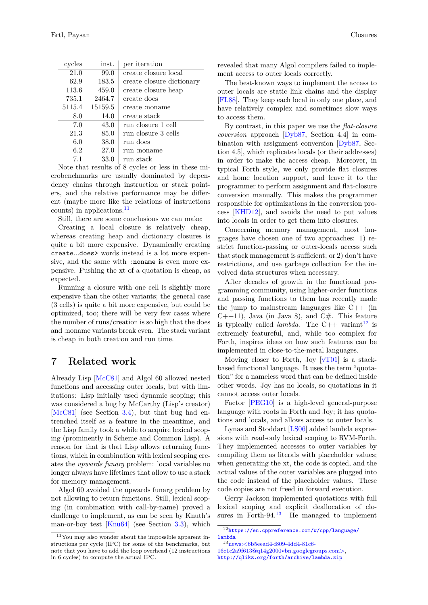| Closures |  |
|----------|--|
|----------|--|

| cycles | inst.   | per iteration             |
|--------|---------|---------------------------|
| 21.0   | 99.0    | create closure local      |
| 62.9   | 183.5   | create closure dictionary |
| 113.6  | 459.0   | create closure heap       |
| 735.1  | 2464.7  | create does               |
| 5115.4 | 15159.5 | create :noname            |
| 8.0    | 14.0    | create stack              |
| 7.0    | 43.0    | run closure 1 cell        |
| 21.3   | 85.0    | run closure 3 cells       |
| 6.0    | 38.0    | run does                  |
| 6.2    | 27.0    | run :noname               |
| 7.1    | 33.0    | run stack                 |

Note that results of 8 cycles or less in these microbenchmarks are usually dominated by dependency chains through instruction or stack pointers, and the relative performance may be different (maybe more like the relations of instructions counts) in applications.[11](#page-10-1)

Still, there are some conclusions we can make:

Creating a local closure is relatively cheap, whereas creating heap and dictionary closures is quite a bit more expensive. Dynamically creating create...does> words instead is a lot more expensive, and the same with :noname is even more expensive. Pushing the xt of a quotation is cheap, as expected.

Running a closure with one cell is slightly more expensive than the other variants; the general case (3 cells) is quite a bit more expensive, but could be optimized, too; there will be very few cases where the number of runs/creation is so high that the does and :noname variants break even. The stack variant is cheap in both creation and run time.

## <span id="page-10-0"></span>**7 Related work**

Already Lisp [\[McC81\]](#page-12-0) and Algol 60 allowed nested functions and accessing outer locals, but with limitations: Lisp initially used dynamic scoping; this was considered a bug by McCarthy (Lisp's creator) [\[McC81\]](#page-12-0) (see Section [3.4\)](#page-5-1), but that bug had entrenched itself as a feature in the meantime, and the Lisp family took a while to acquire lexical scoping (prominently in Scheme and Common Lisp). A reason for that is that Lisp allows returning functions, which in combination with lexical scoping creates the *upwards funarg* problem: local variables no longer always have lifetimes that allow to use a stack for memory management.

Algol 60 avoided the upwards funarg problem by not allowing to return functions. Still, lexical scoping (in combination with call-by-name) proved a challenge to implement, as can be seen by Knuth's man-or-boy test [\[Knu64\]](#page-11-3) (see Section [3.3\)](#page-5-2), which

revealed that many Algol compilers failed to implement access to outer locals correctly.

The best-known ways to implement the access to outer locals are static link chains and the display [\[FL88\]](#page-11-7). They keep each local in only one place, and have relatively complex and sometimes slow ways to access them.

By contrast, in this paper we use the *flat-closure coversion* approach [\[Dyb87,](#page-11-6) Section 4.4] in combination with assignment conversion [\[Dyb87,](#page-11-6) Section 4.5], which replicates locals (or their addresses) in order to make the access cheap. Moreover, in typical Forth style, we only provide flat closures and home location support, and leave it to the programmer to perform assignment and flat-closure conversion manually. This makes the programmer responsible for optimizations in the conversion process [\[KHD12\]](#page-11-8), and avoids the need to put values into locals in order to get them into closures.

Concerning memory management, most languages have chosen one of two approaches: 1) restrict function-passing or outer-locals access such that stack management is sufficient; or 2) don't have restrictions, and use garbage collection for the involved data structures when necessary.

After decades of growth in the functional programming community, using higher-order functions and passing functions to them has recently made the jump to mainstream languages like  $C++$  (in  $C_{++11}$ , Java (in Java 8), and  $C_{+}$ . This feature is typically called *lambda*. The C++ variant<sup>[12](#page-10-2)</sup> is extremely featureful, and, while too complex for Forth, inspires ideas on how such features can be implemented in close-to-the-metal languages.

Moving closer to Forth, Joy [\[vT01\]](#page-12-1) is a stackbased functional language. It uses the term "quotation" for a nameless word that can be defined inside other words. Joy has no locals, so quotations in it cannot access outer locals.

Factor [\[PEG10\]](#page-12-2) is a high-level general-purpose language with roots in Forth and Joy; it has quotations and locals, and allows access to outer locals.

Lynas and Stoddart [\[LS06\]](#page-12-3) added lambda expressions with read-only lexical scoping to RVM-Forth. They implemented accesses to outer variables by compiling them as literals with placeholder values; when generating the xt, the code is copied, and the actual values of the outer variables are plugged into the code instead of the placeholder values. These code copies are not freed in forward execution.

Gerry Jackson implemented quotations with full lexical scoping and explicit deallocation of closures in Forth-94.<sup>13</sup> He managed to implement He managed to implement

<span id="page-10-3"></span> $^{13}\mathrm{news:} \rm < \! 6b5eead4\rm \text{-} \!609\rm \text{-} \!4d4\rm \text{-} \!81c6\rm \text{-}$ 

<span id="page-10-1"></span> $11$ You may also wonder about the impossible apparent instructions per cycle (IPC) for some of the benchmarks, but note that you have to add the loop overhead (12 instructions in 6 cycles) to compute the actual IPC.

<span id="page-10-2"></span><sup>12</sup>[https://en.cppreference.com/w/cpp/language/](https://en.cppreference.com/w/cpp/language/lambda) [lambda](https://en.cppreference.com/w/cpp/language/lambda)

[<sup>16</sup>e1c2a9f613@q14g2000vbn.googlegroups.com>,](http://al.howardknight.net/msgid.cgi?ID=153899086000) <http://qlikz.org/forth/archive/lambda.zip>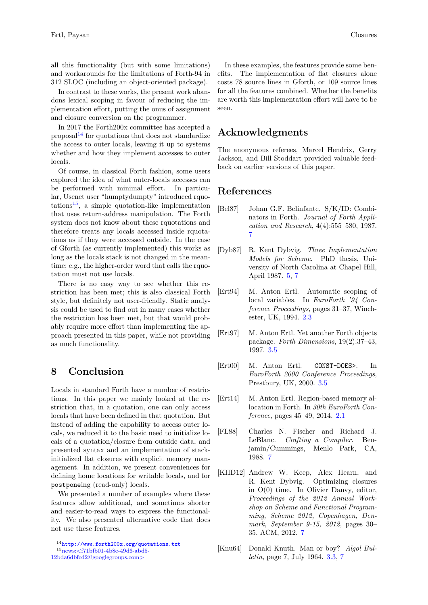all this functionality (but with some limitations) and workarounds for the limitations of Forth-94 in 312 SLOC (including an object-oriented package).

In contrast to these works, the present work abandons lexical scoping in favour of reducing the implementation effort, putting the onus of assignment and closure conversion on the programmer.

In 2017 the Forth200x committee has accepted a proposal $14$  for quotations that does not standardize the access to outer locals, leaving it up to systems whether and how they implement accesses to outer locals.

Of course, in classical Forth fashion, some users explored the idea of what outer-locals accesses can be performed with minimal effort. In particular, Usenet user "humptydumpty" introduced rquo- $\text{tations}^{15}$  $\text{tations}^{15}$  $\text{tations}^{15}$ , a simple quotation-like implementation that uses return-address manipulation. The Forth system does not know about these rquotations and therefore treats any locals accessed inside rquotations as if they were accessed outside. In the case of Gforth (as currently implemented) this works as long as the locals stack is not changed in the meantime; e.g., the higher-order word that calls the rquotation must not use locals.

There is no easy way to see whether this restriction has been met; this is also classical Forth style, but definitely not user-friendly. Static analysis could be used to find out in many cases whether the restriction has been met, but that would probably require more effort than implementing the approach presented in this paper, while not providing as much functionality.

## **8 Conclusion**

Locals in standard Forth have a number of restrictions. In this paper we mainly looked at the restriction that, in a quotation, one can only access locals that have been defined in that quotation. But instead of adding the capability to access outer locals, we reduced it to the basic need to initialize locals of a quotation/closure from outside data, and presented syntax and an implementation of stackinitialized flat closures with explicit memory management. In addition, we present conveniences for defining home locations for writable locals, and for postponeing (read-only) locals.

We presented a number of examples where these features allow additional, and sometimes shorter and easier-to-read ways to express the functionality. We also presented alternative code that does not use these features.

[12bda6dbfcd2@googlegroups.com>](http://al.howardknight.net/msgid.cgi?ID=153113903800)

# **Acknowledgments**

The anonymous referees, Marcel Hendrix, Gerry Jackson, and Bill Stoddart provided valuable feedback on earlier versions of this paper.

## **References**

- <span id="page-11-2"></span>[Bel87] Johan G.F. Belinfante. S/K/ID: Combinators in Forth. *Journal of Forth Application and Research*, 4(4):555–580, 1987. [7](#page-4-0)
- <span id="page-11-6"></span>[Dyb87] R. Kent Dybvig. *Three Implementation Models for Scheme*. PhD thesis, University of North Carolina at Chapel Hill, April 1987. [5,](#page-8-0) [7](#page-10-0)
- <span id="page-11-1"></span>[Ert94] M. Anton Ertl. Automatic scoping of local variables. In *EuroForth '94 Conference Proceedings*, pages 31–37, Winchester, UK, 1994. [2.3](#page-2-1)
- <span id="page-11-5"></span>[Ert97] M. Anton Ertl. Yet another Forth objects package. *Forth Dimensions*, 19(2):37–43, 1997. [3.5](#page-7-2)
- <span id="page-11-4"></span>[Ert00] M. Anton Ertl. CONST-DOES>. In *EuroForth 2000 Conference Proceedings*, Prestbury, UK, 2000. [3.5](#page-6-0)
- <span id="page-11-0"></span>[Ert14] M. Anton Ertl. Region-based memory allocation in Forth. In *30th EuroForth Conference*, pages 45–49, 2014. [2.1](#page-0-3)
- <span id="page-11-7"></span>[FL88] Charles N. Fischer and Richard J. LeBlanc. *Crafting a Compiler*. Benjamin/Cummings, Menlo Park, CA, 1988. [7](#page-10-0)
- <span id="page-11-8"></span>[KHD12] Andrew W. Keep, Alex Hearn, and R. Kent Dybvig. Optimizing closures in O(0) time. In Olivier Danvy, editor, *Proceedings of the 2012 Annual Workshop on Scheme and Functional Programming, Scheme 2012, Copenhagen, Denmark, September 9-15, 2012*, pages 30– 35. ACM, 2012. [7](#page-10-0)
- <span id="page-11-3"></span>[Knu64] Donald Knuth. Man or boy? *Algol Bulletin*, page 7, July 1964. [3.3,](#page-5-2) [7](#page-10-0)

<span id="page-11-10"></span><span id="page-11-9"></span><sup>14</sup><http://www.forth200x.org/quotations.txt> <sup>15</sup>[news:<f71bfb01-4b8e-49d6-abd5-](http://al.howardknight.net/msgid.cgi?ID=153113903800)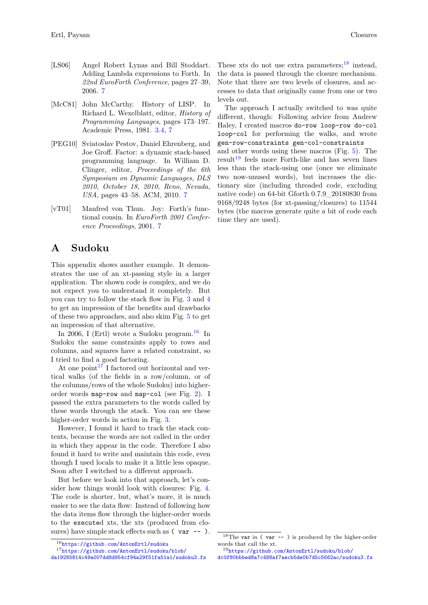- <span id="page-12-3"></span>[LS06] Angel Robert Lynas and Bill Stoddart. Adding Lambda expressions to Forth. In *22nd EuroForth Conference*, pages 27–39, 2006. [7](#page-10-0)
- <span id="page-12-0"></span>[McC81] John McCarthy. History of LISP. Richard L. Wexelblatt, editor, *History of Programming Languages*, pages 173–197. Academic Press, 1981. [3.4,](#page-5-1) [7](#page-10-0)
- <span id="page-12-2"></span>[PEG10] Sviatoslav Pestov, Daniel Ehrenberg, and Joe Groff. Factor: a dynamic stack-based programming language. In William D. Clinger, editor, *Proceedings of the 6th Symposium on Dynamic Languages, DLS 2010, October 18, 2010, Reno, Nevada, USA*, pages 43–58. ACM, 2010. [7](#page-10-0)
- <span id="page-12-1"></span>[vT01] Manfred von Thun. Joy: Forth's functional cousin. In *EuroForth 2001 Conference Proceedings*, 2001. [7](#page-10-0)

# **A Sudoku**

This appendix shows another example. It demonstrates the use of an xt-passing style in a larger application. The shown code is complex, and we do not expect you to understand it completely. But you can try to follow the stack flow in Fig. [3](#page-13-0) and [4](#page-13-1) to get an impression of the benefits and drawbacks of these two approaches, and also skim Fig. [5](#page-13-2) to get an impression of that alternative.

In 2006, I (Ertl) wrote a Sudoku program.<sup>[16](#page-12-4)</sup> In Sudoku the same constraints apply to rows and columns, and squares have a related constraint, so I tried to find a good factoring.

At one point<sup>[17](#page-12-5)</sup> I factored out horizontal and vertical walks (of the fields in a row/column, or of the columns/rows of the whole Sudoku) into higherorder words map-row and map-col (see Fig. [2\)](#page-13-3). I passed the extra parameters to the words called by these words through the stack. You can see these higher-order words in action in Fig. [3.](#page-13-0)

However, I found it hard to track the stack contents, because the words are not called in the order in which they appear in the code. Therefore I also found it hard to write and maintain this code, even though I used locals to make it a little less opaque. Soon after I switched to a different approach.

But before we look into that approach, let's consider how things would look with closures: Fig. [4.](#page-13-1) The code is shorter, but, what's more, it is much easier to see the data flow: Instead of following how the data items flow through the higher-order words to the executed xts, the xts (produced from closures) have simple stack effects such as  $(var -$ . These xts do not use extra parameters;  $18$  instead, the data is passed through the closure mechanism. Note that there are two levels of closures, and accesses to data that originally came from one or two levels out.

The approach I actually switched to was quite different, though: Following advice from Andrew Haley, I created macros do-row loop-row do-col loop-col for performing the walks, and wrote gen-row-constraints gen-col-constraints

and other words using these macros (Fig. [5\)](#page-13-2). The  $result<sup>19</sup>$  $result<sup>19</sup>$  $result<sup>19</sup>$  feels more Forth-like and has seven lines less than the stack-using one (once we eliminate two now-unused words), but increases the dictionary size (including threaded code, excluding native code) on 64-bit Gforth 0.7.9\_20180830 from 9168/9248 bytes (for xt-passing/closures) to 11544 bytes (the macros generate quite a bit of code each time they are used).

<span id="page-12-5"></span><span id="page-12-4"></span><sup>16</sup><https://github.com/AntonErtl/sudoku>

<sup>17</sup>[https://github.com/AntonErtl/sudoku/blob/](https://github.com/AntonErtl/sudoku/blob/da19285814c49a007dd8d954cf94a29f51fa51a1/sudoku3.fs)

[da19285814c49a007dd8d954cf94a29f51fa51a1/sudoku3.fs](https://github.com/AntonErtl/sudoku/blob/da19285814c49a007dd8d954cf94a29f51fa51a1/sudoku3.fs)

<span id="page-12-6"></span> $18$ The var in ( var -- ) is produced by the higher-order words that call the xt.

<span id="page-12-7"></span><sup>19</sup>[https://github.com/AntonErtl/sudoku/blob/](https://github.com/AntonErtl/sudoku/blob/dc0f80bbbed8a7c488af7aecb5de0b7d5c5662ac/sudoku3.fs)

[dc0f80bbbed8a7c488af7aecb5de0b7d5c5662ac/sudoku3.fs](https://github.com/AntonErtl/sudoku/blob/dc0f80bbbed8a7c488af7aecb5de0b7d5c5662ac/sudoku3.fs)